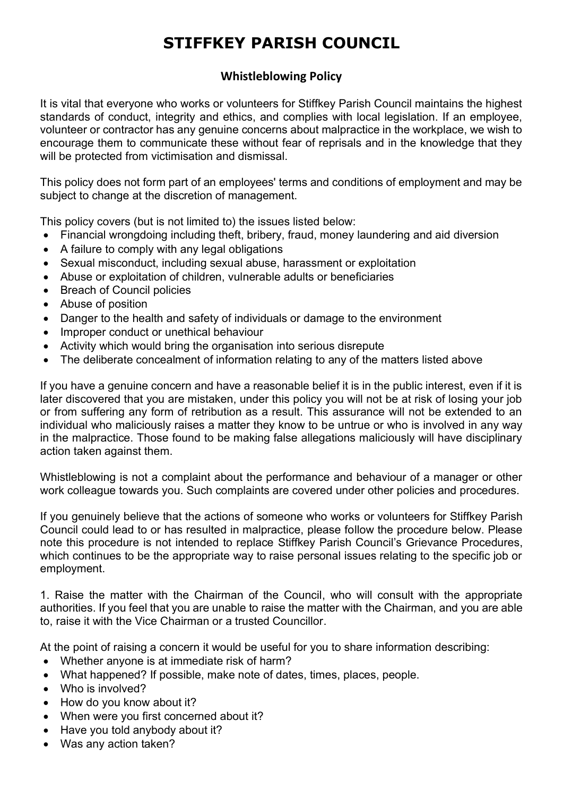## **STIFFKEY PARISH COUNCIL**

## **Whistleblowing Policy**

It is vital that everyone who works or volunteers for Stiffkey Parish Council maintains the highest standards of conduct, integrity and ethics, and complies with local legislation. If an employee, volunteer or contractor has any genuine concerns about malpractice in the workplace, we wish to encourage them to communicate these without fear of reprisals and in the knowledge that they will be protected from victimisation and dismissal.

This policy does not form part of an employees' terms and conditions of employment and may be subject to change at the discretion of management.

This policy covers (but is not limited to) the issues listed below:

- Financial wrongdoing including theft, bribery, fraud, money laundering and aid diversion
- A failure to comply with any legal obligations
- Sexual misconduct, including sexual abuse, harassment or exploitation
- Abuse or exploitation of children, vulnerable adults or beneficiaries
- Breach of Council policies
- Abuse of position
- Danger to the health and safety of individuals or damage to the environment
- Improper conduct or unethical behaviour
- Activity which would bring the organisation into serious disrepute
- The deliberate concealment of information relating to any of the matters listed above

If you have a genuine concern and have a reasonable belief it is in the public interest, even if it is later discovered that you are mistaken, under this policy you will not be at risk of losing your job or from suffering any form of retribution as a result. This assurance will not be extended to an individual who maliciously raises a matter they know to be untrue or who is involved in any way in the malpractice. Those found to be making false allegations maliciously will have disciplinary action taken against them.

Whistleblowing is not a complaint about the performance and behaviour of a manager or other work colleague towards you. Such complaints are covered under other policies and procedures.

If you genuinely believe that the actions of someone who works or volunteers for Stiffkey Parish Council could lead to or has resulted in malpractice, please follow the procedure below. Please note this procedure is not intended to replace Stiffkey Parish Council's Grievance Procedures, which continues to be the appropriate way to raise personal issues relating to the specific job or employment.

1. Raise the matter with the Chairman of the Council, who will consult with the appropriate authorities. If you feel that you are unable to raise the matter with the Chairman, and you are able to, raise it with the Vice Chairman or a trusted Councillor.

At the point of raising a concern it would be useful for you to share information describing:

- Whether anyone is at immediate risk of harm?
- What happened? If possible, make note of dates, times, places, people.
- Who is involved?
- How do you know about it?
- When were you first concerned about it?
- Have you told anybody about it?
- Was any action taken?